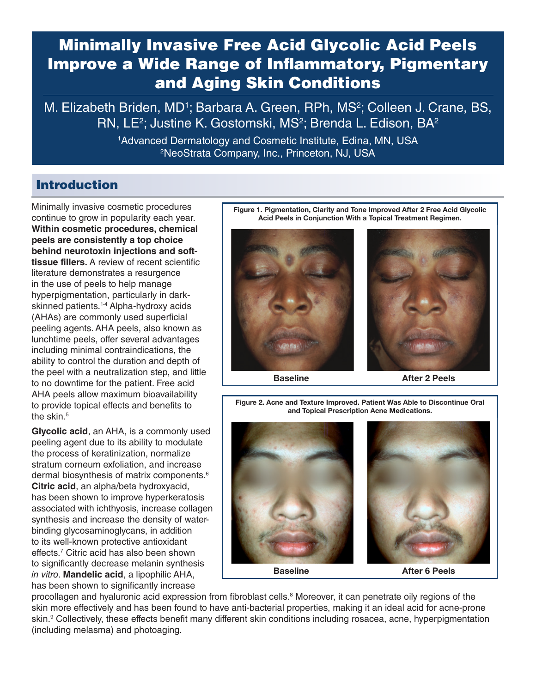# Minimally Invasive Free Acid Glycolic Acid Peels Improve a Wide Range of Inflammatory, Pigmentary and Aging Skin Conditions

M. Elizabeth Briden, MD<sup>1</sup>; Barbara A. Green, RPh, MS<sup>2</sup>; Colleen J. Crane, BS, RN, LE<sup>2</sup>; Justine K. Gostomski, MS<sup>2</sup>; Brenda L. Edison, BA<sup>2</sup>

> 1 Advanced Dermatology and Cosmetic Institute, Edina, MN, USA 2 NeoStrata Company, Inc., Princeton, NJ, USA

# Introduction

Minimally invasive cosmetic procedures continue to grow in popularity each year. **Within cosmetic procedures, chemical peels are consistently a top choice behind neurotoxin injections and softtissue fillers.** A review of recent scientific literature demonstrates a resurgence in the use of peels to help manage hyperpigmentation, particularly in darkskinned patients.<sup>1-4</sup> Alpha-hydroxy acids (AHAs) are commonly used superficial peeling agents. AHA peels, also known as lunchtime peels, offer several advantages including minimal contraindications, the ability to control the duration and depth of the peel with a neutralization step, and little to no downtime for the patient. Free acid AHA peels allow maximum bioavailability to provide topical effects and benefits to the skin $5$ 

**Glycolic acid**, an AHA, is a commonly used peeling agent due to its ability to modulate the process of keratinization, normalize stratum corneum exfoliation, and increase dermal biosynthesis of matrix components.<sup>6</sup> **Citric acid**, an alpha/beta hydroxyacid, has been shown to improve hyperkeratosis associated with ichthyosis, increase collagen synthesis and increase the density of waterbinding glycosaminoglycans, in addition to its well-known protective antioxidant effects.7 Citric acid has also been shown to significantly decrease melanin synthesis *in vitro*. **Mandelic acid**, a lipophilic AHA, has been shown to significantly increase



Figure 2. Acne and Texture Improved. Patient Was Able to Discontinue Oral and Topical Prescription Acne Medications.





Baseline **After 6 Peels** 

procollagen and hyaluronic acid expression from fibroblast cells.<sup>8</sup> Moreover, it can penetrate oily regions of the skin more effectively and has been found to have anti-bacterial properties, making it an ideal acid for acne-prone skin.<sup>9</sup> Collectively, these effects benefit many different skin conditions including rosacea, acne, hyperpigmentation (including melasma) and photoaging.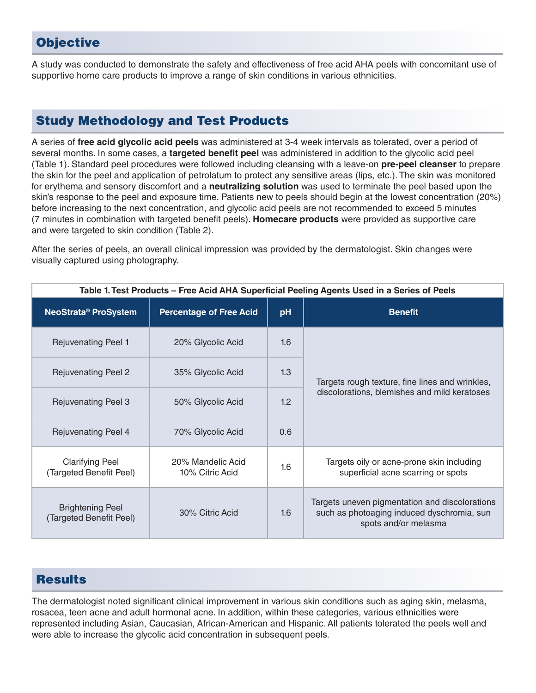# **Objective**

A study was conducted to demonstrate the safety and effectiveness of free acid AHA peels with concomitant use of supportive home care products to improve a range of skin conditions in various ethnicities.

# Study Methodology and Test Products

A series of **free acid glycolic acid peels** was administered at 3-4 week intervals as tolerated, over a period of several months. In some cases, a **targeted benefit peel** was administered in addition to the glycolic acid peel (Table 1). Standard peel procedures were followed including cleansing with a leave-on **pre-peel cleanser** to prepare the skin for the peel and application of petrolatum to protect any sensitive areas (lips, etc.). The skin was monitored for erythema and sensory discomfort and a **neutralizing solution** was used to terminate the peel based upon the skin's response to the peel and exposure time. Patients new to peels should begin at the lowest concentration (20%) before increasing to the next concentration, and glycolic acid peels are not recommended to exceed 5 minutes (7 minutes in combination with targeted benefit peels). **Homecare products** were provided as supportive care and were targeted to skin condition (Table 2).

After the series of peels, an overall clinical impression was provided by the dermatologist. Skin changes were visually captured using photography.

| Table 1. Test Products - Free Acid AHA Superficial Peeling Agents Used in a Series of Peels |                                      |     |                                                                                                                      |  |  |
|---------------------------------------------------------------------------------------------|--------------------------------------|-----|----------------------------------------------------------------------------------------------------------------------|--|--|
| <b>NeoStrata® ProSystem</b>                                                                 | <b>Percentage of Free Acid</b>       | pH  | <b>Benefit</b>                                                                                                       |  |  |
| <b>Rejuvenating Peel 1</b>                                                                  | 20% Glycolic Acid                    | 1.6 | Targets rough texture, fine lines and wrinkles,<br>discolorations, blemishes and mild keratoses                      |  |  |
| <b>Rejuvenating Peel 2</b>                                                                  | 35% Glycolic Acid                    | 1.3 |                                                                                                                      |  |  |
| <b>Rejuvenating Peel 3</b>                                                                  | 50% Glycolic Acid                    | 1.2 |                                                                                                                      |  |  |
| <b>Rejuvenating Peel 4</b>                                                                  | 70% Glycolic Acid                    | 0.6 |                                                                                                                      |  |  |
| <b>Clarifying Peel</b><br>(Targeted Benefit Peel)                                           | 20% Mandelic Acid<br>10% Citric Acid | 1.6 | Targets oily or acne-prone skin including<br>superficial acne scarring or spots                                      |  |  |
| <b>Brightening Peel</b><br>(Targeted Benefit Peel)                                          | 30% Citric Acid                      | 1.6 | Targets uneven pigmentation and discolorations<br>such as photoaging induced dyschromia, sun<br>spots and/or melasma |  |  |

# Results

The dermatologist noted significant clinical improvement in various skin conditions such as aging skin, melasma, rosacea, teen acne and adult hormonal acne. In addition, within these categories, various ethnicities were represented including Asian, Caucasian, African-American and Hispanic. All patients tolerated the peels well and were able to increase the glycolic acid concentration in subsequent peels.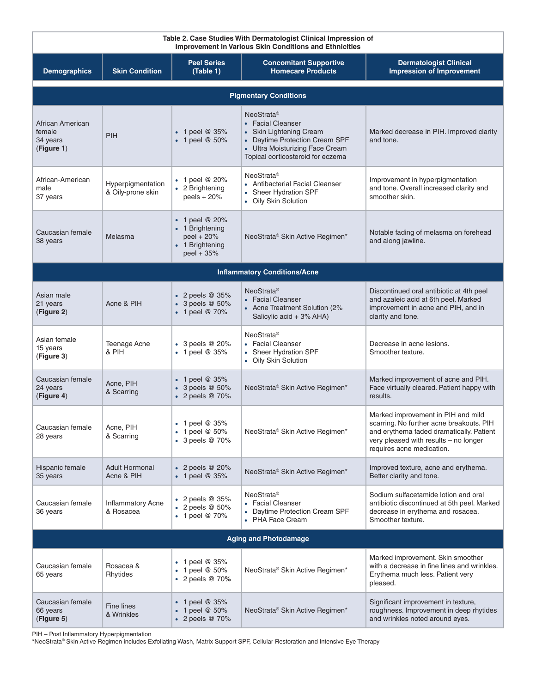| Table 2. Case Studies With Dermatologist Clinical Impression of<br>Improvement in Various Skin Conditions and Ethnicities |                                        |                                                                                  |                                                                                                                                                                                |                                                                                                                                                                                                  |  |  |
|---------------------------------------------------------------------------------------------------------------------------|----------------------------------------|----------------------------------------------------------------------------------|--------------------------------------------------------------------------------------------------------------------------------------------------------------------------------|--------------------------------------------------------------------------------------------------------------------------------------------------------------------------------------------------|--|--|
| <b>Demographics</b>                                                                                                       | <b>Skin Condition</b>                  | <b>Peel Series</b><br>(Table 1)                                                  | <b>Concomitant Supportive</b><br><b>Homecare Products</b>                                                                                                                      | <b>Dermatologist Clinical</b><br><b>Impression of Improvement</b>                                                                                                                                |  |  |
| <b>Pigmentary Conditions</b>                                                                                              |                                        |                                                                                  |                                                                                                                                                                                |                                                                                                                                                                                                  |  |  |
| African American<br>female<br>34 years<br>(Figure 1)                                                                      | PIH                                    | $\bullet$ 1 peel @ 35%<br>$\bullet$ 1 peel @ 50%                                 | NeoStrata <sup>®</sup><br>• Facial Cleanser<br>Skin Lightening Cream<br>• Daytime Protection Cream SPF<br>• Ultra Moisturizing Face Cream<br>Topical corticosteroid for eczema | Marked decrease in PIH. Improved clarity<br>and tone.                                                                                                                                            |  |  |
| African-American<br>male<br>37 years                                                                                      | Hyperpigmentation<br>& Oily-prone skin | $\bullet$ 1 peel @ 20%<br>• 2 Brightening<br>peels $+20%$                        | NeoStrata <sup>®</sup><br>• Antibacterial Facial Cleanser<br>• Sheer Hydration SPF<br>• Oily Skin Solution                                                                     | Improvement in hyperpigmentation<br>and tone. Overall increased clarity and<br>smoother skin.                                                                                                    |  |  |
| Caucasian female<br>38 years                                                                                              | Melasma                                | • 1 peel @ 20%<br>• 1 Brightening<br>peel + 20%<br>• 1 Brightening<br>peel + 35% | NeoStrata <sup>®</sup> Skin Active Regimen*                                                                                                                                    | Notable fading of melasma on forehead<br>and along jawline.                                                                                                                                      |  |  |
| <b>Inflammatory Conditions/Acne</b>                                                                                       |                                        |                                                                                  |                                                                                                                                                                                |                                                                                                                                                                                                  |  |  |
| Asian male<br>21 years<br>(Figure 2)                                                                                      | Acne & PIH                             | $\bullet$ 2 peels @ 35%<br>$\bullet$ 3 peels @ 50%<br>• 1 peel @ 70%             | NeoStrata <sup>®</sup><br>• Facial Cleanser<br>• Acne Treatment Solution (2%<br>Salicylic acid + 3% AHA)                                                                       | Discontinued oral antibiotic at 4th peel<br>and azaleic acid at 6th peel. Marked<br>improvement in acne and PIH, and in<br>clarity and tone.                                                     |  |  |
| Asian female<br>15 years<br>(Figure 3)                                                                                    | Teenage Acne<br>& PIH                  | $\bullet$ 3 peels @ 20%<br>$\bullet$ 1 peel @ 35%                                | NeoStrata <sup>®</sup><br>• Facial Cleanser<br>• Sheer Hydration SPF<br>• Oily Skin Solution                                                                                   | Decrease in acne lesions.<br>Smoother texture.                                                                                                                                                   |  |  |
| Caucasian female<br>24 years<br>(Figure 4)                                                                                | Acne, PIH<br>& Scarring                | $\bullet$ 1 peel @ 35%<br>$\bullet$ 3 peels @ 50%<br>• 2 peels @ 70%             | NeoStrata <sup>®</sup> Skin Active Regimen*                                                                                                                                    | Marked improvement of acne and PIH.<br>Face virtually cleared. Patient happy with<br>results.                                                                                                    |  |  |
| Caucasian female<br>28 years                                                                                              | Acne, PIH<br>& Scarring                | • 1 peel $@35%$<br>• 1 peel $@$ 50%<br>$\bullet$ 3 peels @ 70%                   | NeoStrata® Skin Active Regimen*                                                                                                                                                | Marked improvement in PIH and mild<br>scarring. No further acne breakouts. PIH<br>and erythema faded dramatically. Patient<br>very pleased with results - no longer<br>requires acne medication. |  |  |
| Hispanic female<br>35 years                                                                                               | <b>Adult Hormonal</b><br>Acne & PIH    | $\bullet$ 2 peels @ 20%<br>• 1 peel $@35%$                                       | NeoStrata <sup>®</sup> Skin Active Regimen*                                                                                                                                    | Improved texture, acne and erythema.<br>Better clarity and tone.                                                                                                                                 |  |  |
| Caucasian female<br>36 years                                                                                              | <b>Inflammatory Acne</b><br>& Rosacea  | $\bullet$ 2 peels @ 35%<br>$\bullet$ 2 peels @ 50%<br>$\bullet$ 1 peel @ 70%     | NeoStrata <sup>®</sup><br>• Facial Cleanser<br>• Daytime Protection Cream SPF<br>• PHA Face Cream                                                                              | Sodium sulfacetamide lotion and oral<br>antibiotic discontinued at 5th peel. Marked<br>decrease in erythema and rosacea.<br>Smoother texture.                                                    |  |  |
| <b>Aging and Photodamage</b>                                                                                              |                                        |                                                                                  |                                                                                                                                                                                |                                                                                                                                                                                                  |  |  |
| Caucasian female<br>65 years                                                                                              | Rosacea &<br>Rhytides                  | • 1 peel $@35\%$<br>• 1 peel $@$ 50%<br>$\bullet$ 2 peels @ 70%                  | NeoStrata <sup>®</sup> Skin Active Regimen*                                                                                                                                    | Marked improvement. Skin smoother<br>with a decrease in fine lines and wrinkles.<br>Erythema much less. Patient very<br>pleased.                                                                 |  |  |
| Caucasian female<br>66 years<br>(Figure 5)                                                                                | Fine lines<br>& Wrinkles               | • 1 peel $@35%$<br>1 peel @ 50%<br>$\bullet$ 2 peels @ 70%                       | NeoStrata <sup>®</sup> Skin Active Regimen*                                                                                                                                    | Significant improvement in texture,<br>roughness. Improvement in deep rhytides<br>and wrinkles noted around eyes.                                                                                |  |  |

PIH – Post Inflammatory Hyperpigmentation

\*NeoStrata® Skin Active Regimen includes Exfoliating Wash, Matrix Support SPF, Cellular Restoration and Intensive Eye Therapy